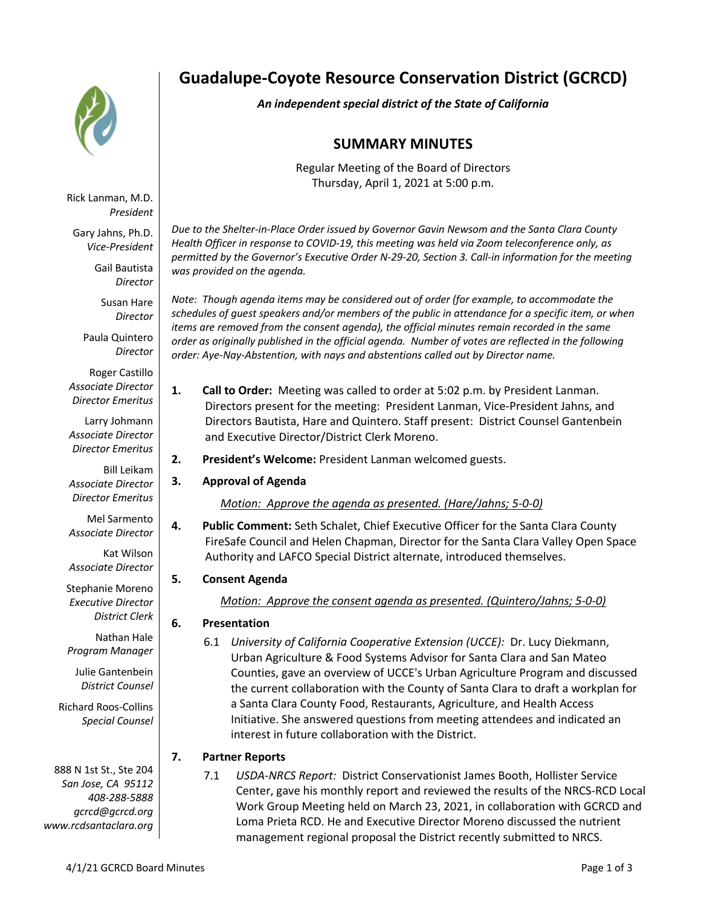

Rick Lanman, M.D. *President*

Gary Jahns, Ph.D. *Vice-President*

> Gail Bautista *Director*

Susan Hare *Director*

Paula Quintero *Director*

Roger Castillo *Associate Director Director Emeritus*

Larry Johmann *Associate Director Director Emeritus*

Bill Leikam *Associate Director Director Emeritus*

Mel Sarmento *Associate Director*

Kat Wilson *Associate Director*

Stephanie Moreno *Executive Director District Clerk*

Nathan Hale *Program Manager*

Julie Gantenbein *District Counsel*

Richard Roos-Collins *Special Counsel*

888 N 1st St., Ste 204 *San Jose, CA 95112 408-288-5888 gcrcd@gcrcd.org www.rcdsantaclara.org*

# **Guadalupe-Coyote Resource Conservation District (GCRCD)**

*An independent special district of the State of California*

# **SUMMARY MINUTES**

Regular Meeting of the Board of Directors Thursday, April 1, 2021 at 5:00 p.m.

*Due to the Shelter-in-Place Order issued by Governor Gavin Newsom and the Santa Clara County Health Officer in response to COVID-19, this meeting was held via Zoom teleconference only, as permitted by the Governor's Executive Order N-29-20, Section 3. Call-in information for the meeting was provided on the agenda.*

*Note: Though agenda items may be considered out of order (for example, to accommodate the schedules of guest speakers and/or members of the public in attendance for a specific item, or when items are removed from the consent agenda), the official minutes remain recorded in the same order as originally published in the official agenda. Number of votes are reflected in the following order: Aye-Nay-Abstention, with nays and abstentions called out by Director name.*

- **1. Call to Order:** Meeting was called to order at 5:02 p.m. by President Lanman. Directors present for the meeting: President Lanman, Vice-President Jahns, and Directors Bautista, Hare and Quintero. Staff present: District Counsel Gantenbein and Executive Director/District Clerk Moreno.
- **2. President's Welcome:** President Lanman welcomed guests.
- **3. Approval of Agenda**

*Motion: Approve the agenda as presented. (Hare/Jahns; 5-0-0)*

**4. Public Comment:** Seth Schalet, Chief Executive Officer for the Santa Clara County FireSafe Council and Helen Chapman, Director for the Santa Clara Valley Open Space Authority and LAFCO Special District alternate, introduced themselves.

## **5. Consent Agenda**

*Motion: Approve the consent agenda as presented. (Quintero/Jahns; 5-0-0)*

- **6. Presentation**
	- 6.1 *University of California Cooperative Extension (UCCE):* Dr. Lucy Diekmann, Urban Agriculture & Food Systems Advisor for Santa Clara and San Mateo Counties, gave an overview of UCCE's Urban Agriculture Program and discussed the current collaboration with the County of Santa Clara to draft a workplan for a Santa Clara County Food, Restaurants, Agriculture, and Health Access Initiative. She answered questions from meeting attendees and indicated an interest in future collaboration with the District.

## **7. Partner Reports**

7.1 *USDA-NRCS Report:* District Conservationist James Booth, Hollister Service Center, gave his monthly report and reviewed the results of the NRCS-RCD Local Work Group Meeting held on March 23, 2021, in collaboration with GCRCD and Loma Prieta RCD. He and Executive Director Moreno discussed the nutrient management regional proposal the District recently submitted to NRCS.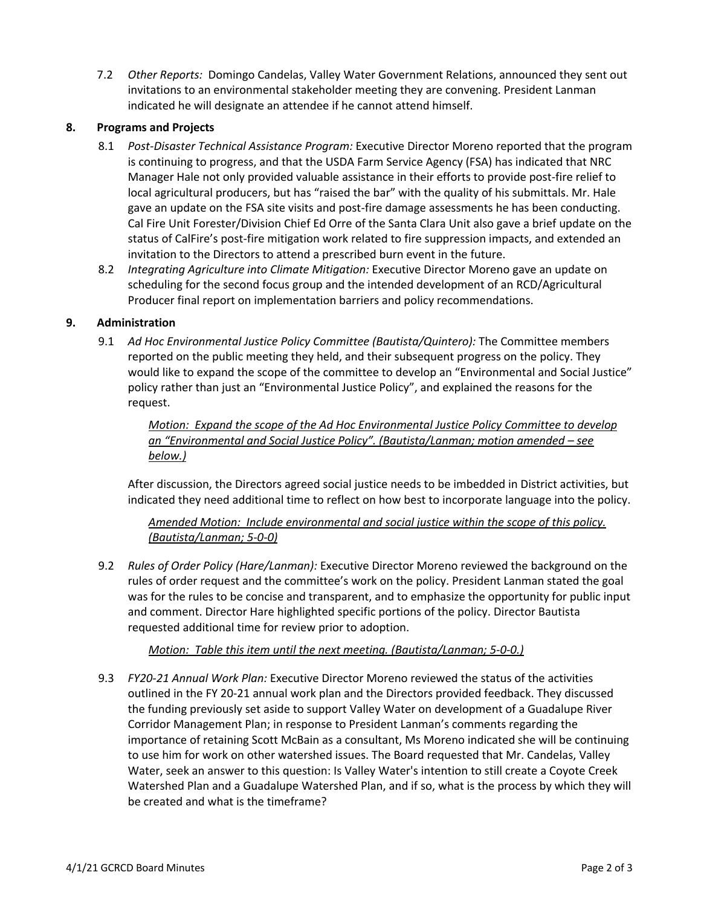7.2 *Other Reports:* Domingo Candelas, Valley Water Government Relations, announced they sent out invitations to an environmental stakeholder meeting they are convening. President Lanman indicated he will designate an attendee if he cannot attend himself.

#### **8. Programs and Projects**

- 8.1 *Post-Disaster Technical Assistance Program:* Executive Director Moreno reported that the program is continuing to progress, and that the USDA Farm Service Agency (FSA) has indicated that NRC Manager Hale not only provided valuable assistance in their efforts to provide post-fire relief to local agricultural producers, but has "raised the bar" with the quality of his submittals. Mr. Hale gave an update on the FSA site visits and post-fire damage assessments he has been conducting. Cal Fire Unit Forester/Division Chief Ed Orre of the Santa Clara Unit also gave a brief update on the status of CalFire's post-fire mitigation work related to fire suppression impacts, and extended an invitation to the Directors to attend a prescribed burn event in the future.
- 8.2 *Integrating Agriculture into Climate Mitigation:* Executive Director Moreno gave an update on scheduling for the second focus group and the intended development of an RCD/Agricultural Producer final report on implementation barriers and policy recommendations.

#### **9. Administration**

9.1 *Ad Hoc Environmental Justice Policy Committee (Bautista/Quintero):* The Committee members reported on the public meeting they held, and their subsequent progress on the policy. They would like to expand the scope of the committee to develop an "Environmental and Social Justice" policy rather than just an "Environmental Justice Policy", and explained the reasons for the request.

*Motion: Expand the scope of the Ad Hoc Environmental Justice Policy Committee to develop an "Environmental and Social Justice Policy". (Bautista/Lanman; motion amended – see below.)*

After discussion, the Directors agreed social justice needs to be imbedded in District activities, but indicated they need additional time to reflect on how best to incorporate language into the policy.

*Amended Motion: Include environmental and social justice within the scope of this policy. (Bautista/Lanman; 5-0-0)*

9.2 *Rules of Order Policy (Hare/Lanman):* Executive Director Moreno reviewed the background on the rules of order request and the committee's work on the policy. President Lanman stated the goal was for the rules to be concise and transparent, and to emphasize the opportunity for public input and comment. Director Hare highlighted specific portions of the policy. Director Bautista requested additional time for review prior to adoption.

*Motion: Table this item until the next meeting. (Bautista/Lanman; 5-0-0.)*

9.3 *FY20-21 Annual Work Plan:* Executive Director Moreno reviewed the status of the activities outlined in the FY 20-21 annual work plan and the Directors provided feedback. They discussed the funding previously set aside to support Valley Water on development of a Guadalupe River Corridor Management Plan; in response to President Lanman's comments regarding the importance of retaining Scott McBain as a consultant, Ms Moreno indicated she will be continuing to use him for work on other watershed issues. The Board requested that Mr. Candelas, Valley Water, seek an answer to this question: Is Valley Water's intention to still create a Coyote Creek Watershed Plan and a Guadalupe Watershed Plan, and if so, what is the process by which they will be created and what is the timeframe?